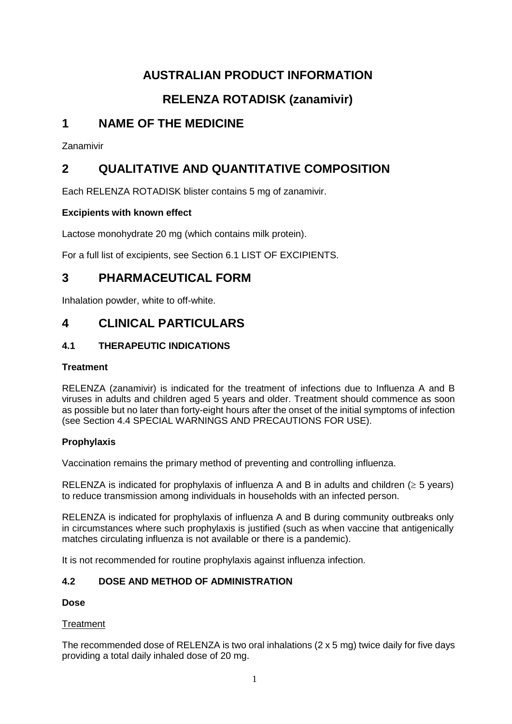# **AUSTRALIAN PRODUCT INFORMATION**

# **RELENZA ROTADISK (zanamivir)**

# **1 NAME OF THE MEDICINE**

Zanamivir

# **2 QUALITATIVE AND QUANTITATIVE COMPOSITION**

Each RELENZA ROTADISK blister contains 5 mg of zanamivir.

# **Excipients with known effect**

Lactose monohydrate 20 mg (which contains milk protein).

For a full list of excipients, see Section 6.1 LIST OF EXCIPIENTS.

# **3 PHARMACEUTICAL FORM**

Inhalation powder, white to off-white.

# **4 CLINICAL PARTICULARS**

# **4.1 THERAPEUTIC INDICATIONS**

# **Treatment**

RELENZA (zanamivir) is indicated for the treatment of infections due to Influenza A and B viruses in adults and children aged 5 years and older. Treatment should commence as soon as possible but no later than forty-eight hours after the onset of the initial symptoms of infection (see Section 4.4 SPECIAL WARNINGS AND PRECAUTIONS FOR USE).

# **Prophylaxis**

Vaccination remains the primary method of preventing and controlling influenza.

RELENZA is indicated for prophylaxis of influenza A and B in adults and children ( $\geq$  5 years) to reduce transmission among individuals in households with an infected person.

RELENZA is indicated for prophylaxis of influenza A and B during community outbreaks only in circumstances where such prophylaxis is justified (such as when vaccine that antigenically matches circulating influenza is not available or there is a pandemic).

It is not recommended for routine prophylaxis against influenza infection.

# **4.2 DOSE AND METHOD OF ADMINISTRATION**

# **Dose**

# **Treatment**

The recommended dose of RELENZA is two oral inhalations (2 x 5 mg) twice daily for five days providing a total daily inhaled dose of 20 mg.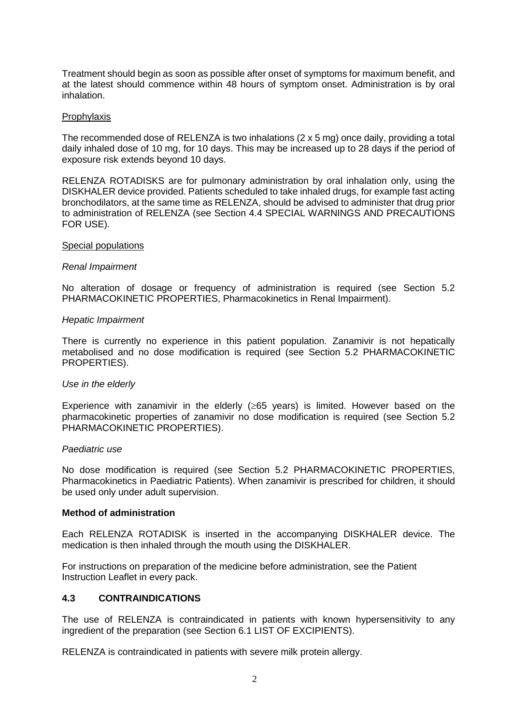Treatment should begin as soon as possible after onset of symptoms for maximum benefit, and at the latest should commence within 48 hours of symptom onset. Administration is by oral inhalation.

#### **Prophylaxis**

The recommended dose of RELENZA is two inhalations (2 x 5 mg) once daily, providing a total daily inhaled dose of 10 mg, for 10 days. This may be increased up to 28 days if the period of exposure risk extends beyond 10 days.

RELENZA ROTADISKS are for pulmonary administration by oral inhalation only, using the DISKHALER device provided. Patients scheduled to take inhaled drugs, for example fast acting bronchodilators, at the same time as RELENZA, should be advised to administer that drug prior to administration of RELENZA (see Section 4.4 SPECIAL WARNINGS AND PRECAUTIONS FOR USE).

#### Special populations

#### *Renal Impairment*

No alteration of dosage or frequency of administration is required (see Section 5.2 PHARMACOKINETIC PROPERTIES, Pharmacokinetics in Renal Impairment).

#### *Hepatic Impairment*

There is currently no experience in this patient population. Zanamivir is not hepatically metabolised and no dose modification is required (see Section 5.2 PHARMACOKINETIC PROPERTIES).

#### *Use in the elderly*

Experience with zanamivir in the elderly  $(\geq 65$  years) is limited. However based on the pharmacokinetic properties of zanamivir no dose modification is required (see Section 5.2 PHARMACOKINETIC PROPERTIES).

#### *Paediatric use*

No dose modification is required (see Section 5.2 PHARMACOKINETIC PROPERTIES, Pharmacokinetics in Paediatric Patients). When zanamivir is prescribed for children, it should be used only under adult supervision.

#### **Method of administration**

Each RELENZA ROTADISK is inserted in the accompanying DISKHALER device. The medication is then inhaled through the mouth using the DISKHALER.

For instructions on preparation of the medicine before administration, see the Patient Instruction Leaflet in every pack.

### **4.3 CONTRAINDICATIONS**

The use of RELENZA is contraindicated in patients with known hypersensitivity to any ingredient of the preparation (see Section 6.1 LIST OF EXCIPIENTS).

RELENZA is contraindicated in patients with severe milk protein allergy.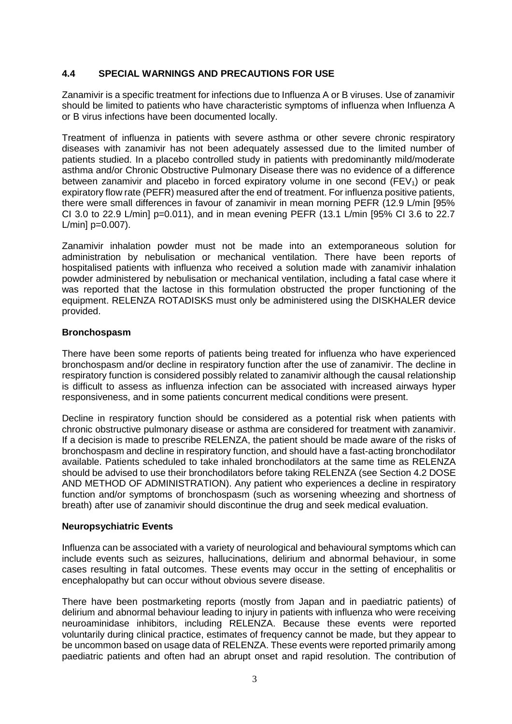# **4.4 SPECIAL WARNINGS AND PRECAUTIONS FOR USE**

Zanamivir is a specific treatment for infections due to Influenza A or B viruses. Use of zanamivir should be limited to patients who have characteristic symptoms of influenza when Influenza A or B virus infections have been documented locally.

Treatment of influenza in patients with severe asthma or other severe chronic respiratory diseases with zanamivir has not been adequately assessed due to the limited number of patients studied. In a placebo controlled study in patients with predominantly mild/moderate asthma and/or Chronic Obstructive Pulmonary Disease there was no evidence of a difference between zanamivir and placebo in forced expiratory volume in one second ( $FEV<sub>1</sub>$ ) or peak expiratory flow rate (PEFR) measured after the end of treatment. For influenza positive patients, there were small differences in favour of zanamivir in mean morning PEFR (12.9 L/min [95% CI 3.0 to 22.9 L/min] p=0.011), and in mean evening PEFR (13.1 L/min [95% CI 3.6 to 22.7  $L/min$ ] p=0.007).

Zanamivir inhalation powder must not be made into an extemporaneous solution for administration by nebulisation or mechanical ventilation. There have been reports of hospitalised patients with influenza who received a solution made with zanamivir inhalation powder administered by nebulisation or mechanical ventilation, including a fatal case where it was reported that the lactose in this formulation obstructed the proper functioning of the equipment. RELENZA ROTADISKS must only be administered using the DISKHALER device provided.

## **Bronchospasm**

There have been some reports of patients being treated for influenza who have experienced bronchospasm and/or decline in respiratory function after the use of zanamivir. The decline in respiratory function is considered possibly related to zanamivir although the causal relationship is difficult to assess as influenza infection can be associated with increased airways hyper responsiveness, and in some patients concurrent medical conditions were present.

Decline in respiratory function should be considered as a potential risk when patients with chronic obstructive pulmonary disease or asthma are considered for treatment with zanamivir. If a decision is made to prescribe RELENZA, the patient should be made aware of the risks of bronchospasm and decline in respiratory function, and should have a fast-acting bronchodilator available. Patients scheduled to take inhaled bronchodilators at the same time as RELENZA should be advised to use their bronchodilators before taking RELENZA (see Section 4.2 DOSE AND METHOD OF ADMINISTRATION). Any patient who experiences a decline in respiratory function and/or symptoms of bronchospasm (such as worsening wheezing and shortness of breath) after use of zanamivir should discontinue the drug and seek medical evaluation.

## **Neuropsychiatric Events**

Influenza can be associated with a variety of neurological and behavioural symptoms which can include events such as seizures, hallucinations, delirium and abnormal behaviour, in some cases resulting in fatal outcomes. These events may occur in the setting of encephalitis or encephalopathy but can occur without obvious severe disease.

There have been postmarketing reports (mostly from Japan and in paediatric patients) of delirium and abnormal behaviour leading to injury in patients with influenza who were receiving neuroaminidase inhibitors, including RELENZA. Because these events were reported voluntarily during clinical practice, estimates of frequency cannot be made, but they appear to be uncommon based on usage data of RELENZA. These events were reported primarily among paediatric patients and often had an abrupt onset and rapid resolution. The contribution of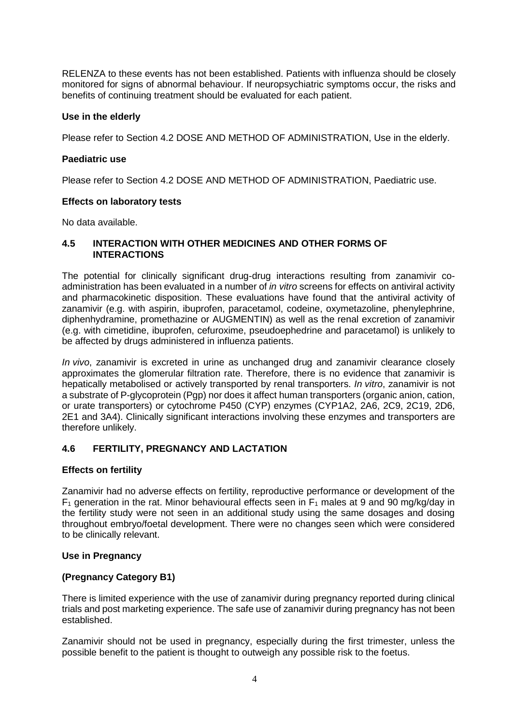RELENZA to these events has not been established. Patients with influenza should be closely monitored for signs of abnormal behaviour. If neuropsychiatric symptoms occur, the risks and benefits of continuing treatment should be evaluated for each patient.

### **Use in the elderly**

Please refer to Section 4.2 DOSE AND METHOD OF ADMINISTRATION, Use in the elderly.

### **Paediatric use**

Please refer to Section 4.2 DOSE AND METHOD OF ADMINISTRATION, Paediatric use.

### **Effects on laboratory tests**

No data available.

### **4.5 INTERACTION WITH OTHER MEDICINES AND OTHER FORMS OF INTERACTIONS**

The potential for clinically significant drug-drug interactions resulting from zanamivir coadministration has been evaluated in a number of *in vitro* screens for effects on antiviral activity and pharmacokinetic disposition. These evaluations have found that the antiviral activity of zanamivir (e.g. with aspirin, ibuprofen, paracetamol, codeine, oxymetazoline, phenylephrine, diphenhydramine, promethazine or AUGMENTIN) as well as the renal excretion of zanamivir (e.g. with cimetidine, ibuprofen, cefuroxime, pseudoephedrine and paracetamol) is unlikely to be affected by drugs administered in influenza patients.

*In vivo*, zanamivir is excreted in urine as unchanged drug and zanamivir clearance closely approximates the glomerular filtration rate. Therefore, there is no evidence that zanamivir is hepatically metabolised or actively transported by renal transporters. *In vitro*, zanamivir is not a substrate of P-glycoprotein (Pgp) nor does it affect human transporters (organic anion, cation, or urate transporters) or cytochrome P450 (CYP) enzymes (CYP1A2, 2A6, 2C9, 2C19, 2D6, 2E1 and 3A4). Clinically significant interactions involving these enzymes and transporters are therefore unlikely.

## **4.6 FERTILITY, PREGNANCY AND LACTATION**

#### **Effects on fertility**

Zanamivir had no adverse effects on fertility, reproductive performance or development of the  $F_1$  generation in the rat. Minor behavioural effects seen in  $F_1$  males at 9 and 90 mg/kg/day in the fertility study were not seen in an additional study using the same dosages and dosing throughout embryo/foetal development. There were no changes seen which were considered to be clinically relevant.

#### **Use in Pregnancy**

## **(Pregnancy Category B1)**

There is limited experience with the use of zanamivir during pregnancy reported during clinical trials and post marketing experience. The safe use of zanamivir during pregnancy has not been established.

Zanamivir should not be used in pregnancy, especially during the first trimester, unless the possible benefit to the patient is thought to outweigh any possible risk to the foetus.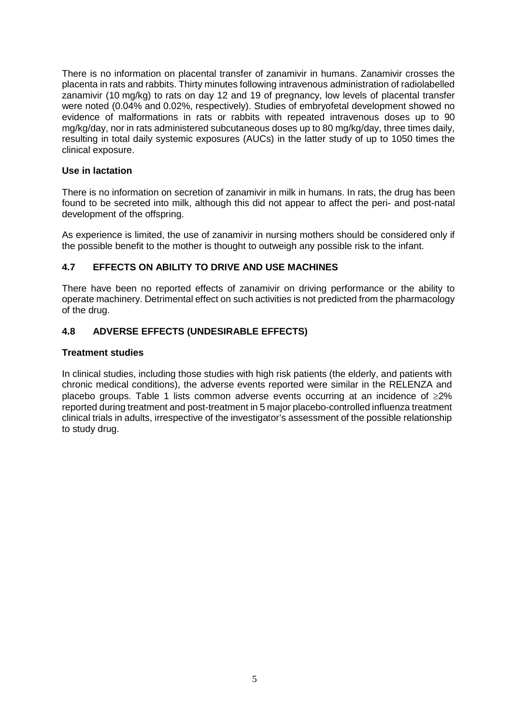There is no information on placental transfer of zanamivir in humans. Zanamivir crosses the placenta in rats and rabbits. Thirty minutes following intravenous administration of radiolabelled zanamivir (10 mg/kg) to rats on day 12 and 19 of pregnancy, low levels of placental transfer were noted (0.04% and 0.02%, respectively). Studies of embryofetal development showed no evidence of malformations in rats or rabbits with repeated intravenous doses up to 90 mg/kg/day, nor in rats administered subcutaneous doses up to 80 mg/kg/day, three times daily, resulting in total daily systemic exposures (AUCs) in the latter study of up to 1050 times the clinical exposure.

# **Use in lactation**

There is no information on secretion of zanamivir in milk in humans. In rats, the drug has been found to be secreted into milk, although this did not appear to affect the peri- and post-natal development of the offspring.

As experience is limited, the use of zanamivir in nursing mothers should be considered only if the possible benefit to the mother is thought to outweigh any possible risk to the infant.

# **4.7 EFFECTS ON ABILITY TO DRIVE AND USE MACHINES**

There have been no reported effects of zanamivir on driving performance or the ability to operate machinery. Detrimental effect on such activities is not predicted from the pharmacology of the drug.

# **4.8 ADVERSE EFFECTS (UNDESIRABLE EFFECTS)**

## **Treatment studies**

In clinical studies, including those studies with high risk patients (the elderly, and patients with chronic medical conditions), the adverse events reported were similar in the RELENZA and placebo groups. Table 1 lists common adverse events occurring at an incidence of ≥2% reported during treatment and post-treatment in 5 major placebo-controlled influenza treatment clinical trials in adults, irrespective of the investigator's assessment of the possible relationship to study drug.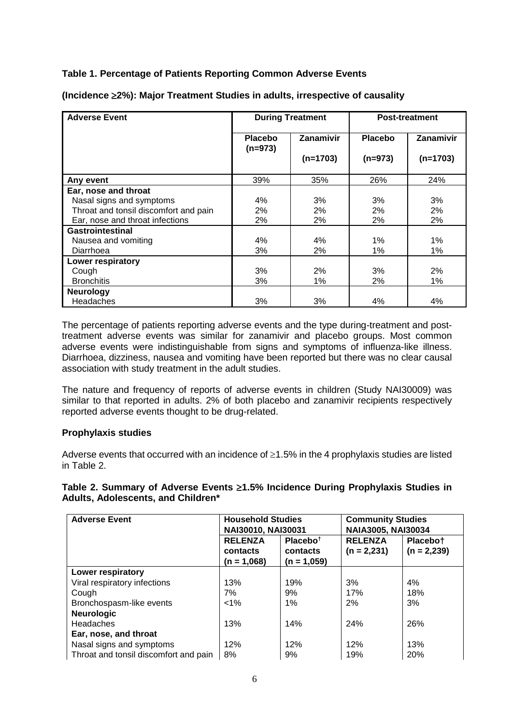# **Table 1. Percentage of Patients Reporting Common Adverse Events**

| <b>Adverse Event</b>                  | <b>During Treatment</b>     |                  | <b>Post-treatment</b> |            |
|---------------------------------------|-----------------------------|------------------|-----------------------|------------|
|                                       | <b>Placebo</b><br>$(n=973)$ | <b>Zanamivir</b> | <b>Placebo</b>        | Zanamivir  |
|                                       |                             | $(n=1703)$       | $(n=973)$             | $(n=1703)$ |
| Any event                             | 39%                         | 35%              | 26%                   | 24%        |
| Ear, nose and throat                  |                             |                  |                       |            |
| Nasal signs and symptoms              | 4%                          | 3%               | 3%                    | 3%         |
| Throat and tonsil discomfort and pain | 2%                          | 2%               | 2%                    | 2%         |
| Ear, nose and throat infections       | 2%                          | 2%               | 2%                    | 2%         |
| <b>Gastrointestinal</b>               |                             |                  |                       |            |
| Nausea and vomiting                   | 4%                          | 4%               | 1%                    | 1%         |
| Diarrhoea                             | 3%                          | 2%               | 1%                    | 1%         |
| Lower respiratory                     |                             |                  |                       |            |
| Cough                                 | 3%                          | 2%               | 3%                    | 2%         |
| <b>Bronchitis</b>                     | 3%                          | 1%               | 2%                    | 1%         |
| <b>Neurology</b>                      |                             |                  |                       |            |
| Headaches                             | 3%                          | 3%               | 4%                    | 4%         |

**(Incidence** ≥**2%): Major Treatment Studies in adults, irrespective of causality**

The percentage of patients reporting adverse events and the type during-treatment and posttreatment adverse events was similar for zanamivir and placebo groups. Most common adverse events were indistinguishable from signs and symptoms of influenza-like illness. Diarrhoea, dizziness, nausea and vomiting have been reported but there was no clear causal association with study treatment in the adult studies.

The nature and frequency of reports of adverse events in children (Study NAI30009) was similar to that reported in adults. 2% of both placebo and zanamivir recipients respectively reported adverse events thought to be drug-related.

## **Prophylaxis studies**

Adverse events that occurred with an incidence of  $\geq 1.5\%$  in the 4 prophylaxis studies are listed in Table 2.

## **Table 2. Summary of Adverse Events** ≥**1.5% Incidence During Prophylaxis Studies in Adults, Adolescents, and Children\***

| <b>Adverse Event</b>                  | <b>Household Studies</b><br>NAI30010, NAI30031 |                                                   | <b>Community Studies</b><br><b>NAIA3005, NAI30034</b> |                           |
|---------------------------------------|------------------------------------------------|---------------------------------------------------|-------------------------------------------------------|---------------------------|
|                                       | <b>RELENZA</b><br>contacts<br>$(n = 1,068)$    | Placebo <sup>†</sup><br>contacts<br>$(n = 1,059)$ | <b>RELENZA</b><br>$(n = 2,231)$                       | Placebot<br>$(n = 2,239)$ |
| Lower respiratory                     |                                                |                                                   |                                                       |                           |
| Viral respiratory infections          | 13%                                            | 19%                                               | 3%                                                    | 4%                        |
| Cough                                 | 7%                                             | 9%                                                | 17%                                                   | 18%                       |
| Bronchospasm-like events              | $< 1\%$                                        | $1\%$                                             | 2%                                                    | 3%                        |
| <b>Neurologic</b>                     |                                                |                                                   |                                                       |                           |
| Headaches                             | 13%                                            | 14%                                               | 24%                                                   | 26%                       |
| Ear, nose, and throat                 |                                                |                                                   |                                                       |                           |
| Nasal signs and symptoms              | 12%                                            | 12%                                               | 12%                                                   | 13%                       |
| Throat and tonsil discomfort and pain | 8%                                             | 9%                                                | 19%                                                   | 20%                       |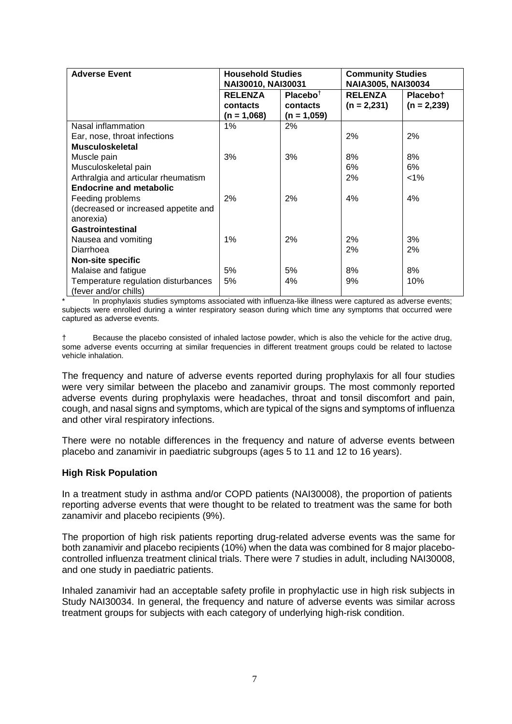| <b>Adverse Event</b>                 | <b>Household Studies</b><br>NAI30010, NAI30031 |                      | <b>Community Studies</b><br>NAIA3005, NAI30034 |               |
|--------------------------------------|------------------------------------------------|----------------------|------------------------------------------------|---------------|
|                                      | <b>RELENZA</b>                                 | Placebo <sup>t</sup> | <b>RELENZA</b>                                 | Placebot      |
|                                      | contacts                                       | contacts             | $(n = 2,231)$                                  | $(n = 2,239)$ |
|                                      | $(n = 1,068)$                                  | $(n = 1,059)$        |                                                |               |
| Nasal inflammation                   | $1\%$                                          | 2%                   |                                                |               |
| Ear, nose, throat infections         |                                                |                      | 2%                                             | 2%            |
| <b>Musculoskeletal</b>               |                                                |                      |                                                |               |
| Muscle pain                          | 3%                                             | 3%                   | 8%                                             | 8%            |
| Musculoskeletal pain                 |                                                |                      | 6%                                             | 6%            |
| Arthralgia and articular rheumatism  |                                                |                      | 2%                                             | $< 1\%$       |
| <b>Endocrine and metabolic</b>       |                                                |                      |                                                |               |
| Feeding problems                     | 2%                                             | 2%                   | 4%                                             | 4%            |
| (decreased or increased appetite and |                                                |                      |                                                |               |
| anorexia)                            |                                                |                      |                                                |               |
| Gastrointestinal                     |                                                |                      |                                                |               |
| Nausea and vomiting                  | $1\%$                                          | 2%                   | 2%                                             | 3%            |
| Diarrhoea                            |                                                |                      | 2%                                             | 2%            |
| <b>Non-site specific</b>             |                                                |                      |                                                |               |
| Malaise and fatigue                  | 5%                                             | 5%                   | 8%                                             | 8%            |
| Temperature regulation disturbances  | 5%                                             | 4%                   | 9%                                             | 10%           |
| (fever and/or chills)                |                                                |                      |                                                |               |

In prophylaxis studies symptoms associated with influenza-like illness were captured as adverse events; subjects were enrolled during a winter respiratory season during which time any symptoms that occurred were captured as adverse events.

† Because the placebo consisted of inhaled lactose powder, which is also the vehicle for the active drug, some adverse events occurring at similar frequencies in different treatment groups could be related to lactose vehicle inhalation.

The frequency and nature of adverse events reported during prophylaxis for all four studies were very similar between the placebo and zanamivir groups. The most commonly reported adverse events during prophylaxis were headaches, throat and tonsil discomfort and pain, cough, and nasal signs and symptoms, which are typical of the signs and symptoms of influenza and other viral respiratory infections.

There were no notable differences in the frequency and nature of adverse events between placebo and zanamivir in paediatric subgroups (ages 5 to 11 and 12 to 16 years).

## **High Risk Population**

In a treatment study in asthma and/or COPD patients (NAI30008), the proportion of patients reporting adverse events that were thought to be related to treatment was the same for both zanamivir and placebo recipients (9%).

The proportion of high risk patients reporting drug-related adverse events was the same for both zanamivir and placebo recipients (10%) when the data was combined for 8 major placebocontrolled influenza treatment clinical trials. There were 7 studies in adult, including NAI30008, and one study in paediatric patients.

Inhaled zanamivir had an acceptable safety profile in prophylactic use in high risk subjects in Study NAI30034. In general, the frequency and nature of adverse events was similar across treatment groups for subjects with each category of underlying high-risk condition.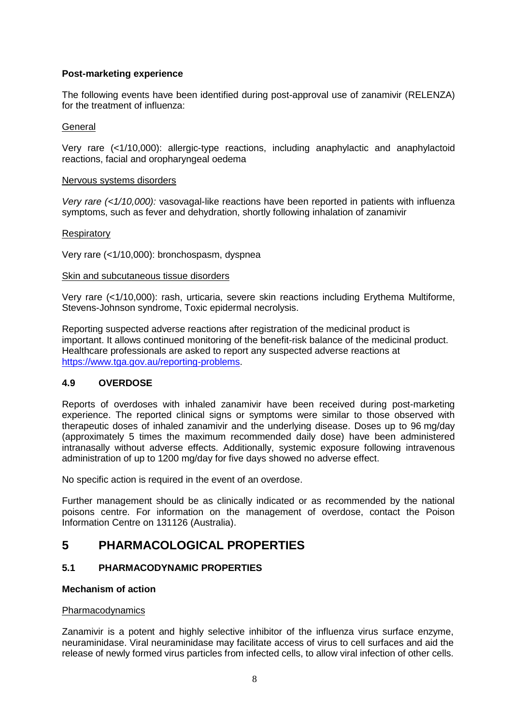# **Post-marketing experience**

The following events have been identified during post-approval use of zanamivir (RELENZA) for the treatment of influenza:

## **General**

Very rare (<1/10,000): allergic-type reactions, including anaphylactic and anaphylactoid reactions, facial and oropharyngeal oedema

### Nervous systems disorders

*Very rare (<1/10,000):* vasovagal-like reactions have been reported in patients with influenza symptoms, such as fever and dehydration, shortly following inhalation of zanamivir

## **Respiratory**

Very rare (<1/10,000): bronchospasm, dyspnea

#### Skin and subcutaneous tissue disorders

Very rare (<1/10,000): rash, urticaria, severe skin reactions including Erythema Multiforme, Stevens-Johnson syndrome, Toxic epidermal necrolysis.

Reporting suspected adverse reactions after registration of the medicinal product is important. It allows continued monitoring of the benefit-risk balance of the medicinal product. Healthcare professionals are asked to report any suspected adverse reactions at [https://www.tga.gov.au/reporting-problems.](https://www.tga.gov.au/reporting-problems)

## **4.9 OVERDOSE**

Reports of overdoses with inhaled zanamivir have been received during post-marketing experience. The reported clinical signs or symptoms were similar to those observed with therapeutic doses of inhaled zanamivir and the underlying disease. Doses up to 96 mg/day (approximately 5 times the maximum recommended daily dose) have been administered intranasally without adverse effects. Additionally, systemic exposure following intravenous administration of up to 1200 mg/day for five days showed no adverse effect.

No specific action is required in the event of an overdose.

Further management should be as clinically indicated or as recommended by the national poisons centre. For information on the management of overdose, contact the Poison Information Centre on 131126 (Australia).

# **5 PHARMACOLOGICAL PROPERTIES**

## **5.1 PHARMACODYNAMIC PROPERTIES**

# **Mechanism of action**

#### Pharmacodynamics

Zanamivir is a potent and highly selective inhibitor of the influenza virus surface enzyme, neuraminidase. Viral neuraminidase may facilitate access of virus to cell surfaces and aid the release of newly formed virus particles from infected cells, to allow viral infection of other cells.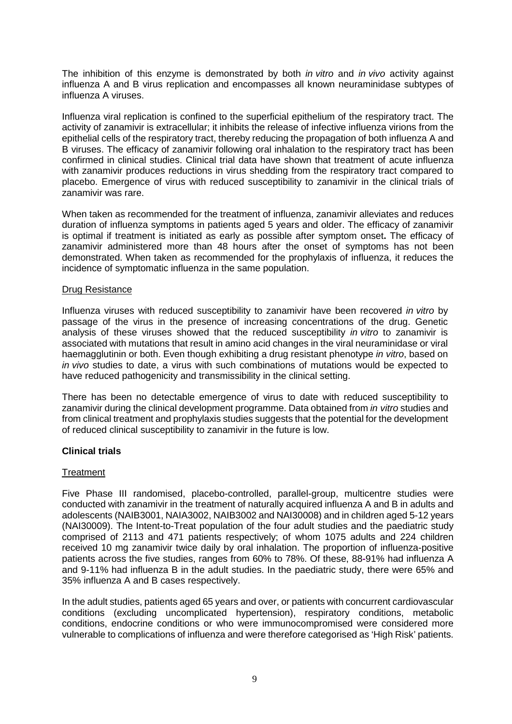The inhibition of this enzyme is demonstrated by both *in vitro* and *in vivo* activity against influenza A and B virus replication and encompasses all known neuraminidase subtypes of influenza A viruses.

Influenza viral replication is confined to the superficial epithelium of the respiratory tract. The activity of zanamivir is extracellular; it inhibits the release of infective influenza virions from the epithelial cells of the respiratory tract, thereby reducing the propagation of both influenza A and B viruses. The efficacy of zanamivir following oral inhalation to the respiratory tract has been confirmed in clinical studies. Clinical trial data have shown that treatment of acute influenza with zanamivir produces reductions in virus shedding from the respiratory tract compared to placebo. Emergence of virus with reduced susceptibility to zanamivir in the clinical trials of zanamivir was rare.

When taken as recommended for the treatment of influenza, zanamivir alleviates and reduces duration of influenza symptoms in patients aged 5 years and older. The efficacy of zanamivir is optimal if treatment is initiated as early as possible after symptom onset**.** The efficacy of zanamivir administered more than 48 hours after the onset of symptoms has not been demonstrated. When taken as recommended for the prophylaxis of influenza, it reduces the incidence of symptomatic influenza in the same population.

### Drug Resistance

Influenza viruses with reduced susceptibility to zanamivir have been recovered *in vitro* by passage of the virus in the presence of increasing concentrations of the drug. Genetic analysis of these viruses showed that the reduced susceptibility *in vitro* to zanamivir is associated with mutations that result in amino acid changes in the viral neuraminidase or viral haemagglutinin or both. Even though exhibiting a drug resistant phenotype *in vitro*, based on *in vivo* studies to date, a virus with such combinations of mutations would be expected to have reduced pathogenicity and transmissibility in the clinical setting.

There has been no detectable emergence of virus to date with reduced susceptibility to zanamivir during the clinical development programme. Data obtained from *in vitro* studies and from clinical treatment and prophylaxis studies suggests that the potential for the development of reduced clinical susceptibility to zanamivir in the future is low.

#### **Clinical trials**

#### **Treatment**

Five Phase III randomised, placebo-controlled, parallel-group, multicentre studies were conducted with zanamivir in the treatment of naturally acquired influenza A and B in adults and adolescents (NAIB3001, NAIA3002, NAIB3002 and NAI30008) and in children aged 5-12 years (NAI30009). The Intent-to-Treat population of the four adult studies and the paediatric study comprised of 2113 and 471 patients respectively; of whom 1075 adults and 224 children received 10 mg zanamivir twice daily by oral inhalation. The proportion of influenza-positive patients across the five studies, ranges from 60% to 78%. Of these, 88**-**91% had influenza A and 9-11% had influenza B in the adult studies. In the paediatric study, there were 65% and 35% influenza A and B cases respectively.

In the adult studies, patients aged 65 years and over, or patients with concurrent cardiovascular conditions (excluding uncomplicated hypertension), respiratory conditions, metabolic conditions, endocrine conditions or who were immunocompromised were considered more vulnerable to complications of influenza and were therefore categorised as 'High Risk' patients.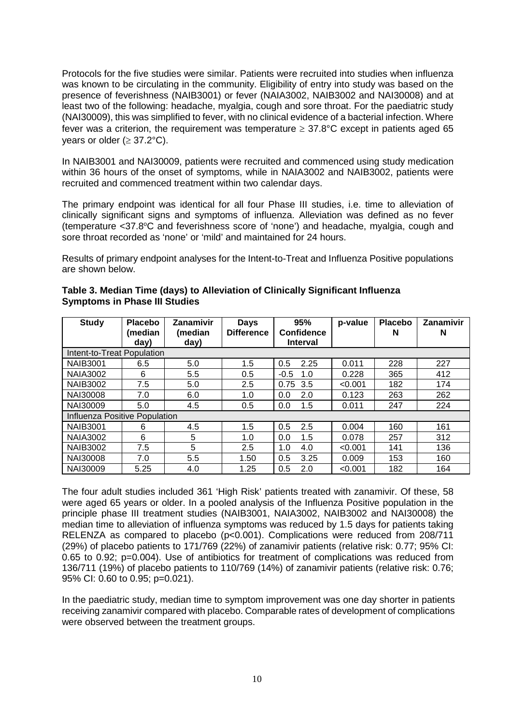Protocols for the five studies were similar. Patients were recruited into studies when influenza was known to be circulating in the community. Eligibility of entry into study was based on the presence of feverishness (NAIB3001) or fever (NAIA3002, NAIB3002 and NAI30008) and at least two of the following: headache, myalgia, cough and sore throat. For the paediatric study (NAI30009), this was simplified to fever, with no clinical evidence of a bacterial infection. Where fever was a criterion, the requirement was temperature  $\geq$  37.8°C except in patients aged 65 vears or older ( $\geq$  37.2°C).

In NAIB3001 and NAI30009, patients were recruited and commenced using study medication within 36 hours of the onset of symptoms, while in NAIA3002 and NAIB3002, patients were recruited and commenced treatment within two calendar days.

The primary endpoint was identical for all four Phase III studies, i.e. time to alleviation of clinically significant signs and symptoms of influenza. Alleviation was defined as no fever (temperature < 37.8°C and feverishness score of 'none') and headache, myalgia, cough and sore throat recorded as 'none' or 'mild' and maintained for 24 hours.

Results of primary endpoint analyses for the Intent-to-Treat and Influenza Positive populations are shown below.

| <b>Study</b>                  | <b>Placebo</b><br>(median | Zanamivir<br>(median | <b>Days</b><br><b>Difference</b> | 95%<br>Confidence | p-value | <b>Placebo</b><br>N | Zanamivir<br>N |
|-------------------------------|---------------------------|----------------------|----------------------------------|-------------------|---------|---------------------|----------------|
|                               | day)                      | day)                 |                                  | <b>Interval</b>   |         |                     |                |
| Intent-to-Treat Population    |                           |                      |                                  |                   |         |                     |                |
| <b>NAIB3001</b>               | 6.5                       | 5.0                  | 1.5                              | 0.5<br>2.25       | 0.011   | 228                 | 227            |
| <b>NAIA3002</b>               | 6                         | 5.5                  | 0.5                              | $-0.5$<br>1.0     | 0.228   | 365                 | 412            |
| <b>NAIB3002</b>               | 7.5                       | 5.0                  | 2.5                              | 0.75<br>3.5       | < 0.001 | 182                 | 174            |
| NAI30008                      | 7.0                       | 6.0                  | 1.0                              | 2.0<br>0.0        | 0.123   | 263                 | 262            |
| NAI30009                      | 5.0                       | 4.5                  | 0.5                              | 1.5<br>0.0        | 0.011   | 247                 | 224            |
| Influenza Positive Population |                           |                      |                                  |                   |         |                     |                |
| <b>NAIB3001</b>               | 6                         | 4.5                  | 1.5                              | 2.5<br>0.5        | 0.004   | 160                 | 161            |
| <b>NAIA3002</b>               | 6                         | 5                    | 1.0                              | 1.5<br>0.0        | 0.078   | 257                 | 312            |
| <b>NAIB3002</b>               | 7.5                       | 5                    | 2.5                              | 1.0<br>4.0        | < 0.001 | 141                 | 136            |
| NAI30008                      | 7.0                       | 5.5                  | 1.50                             | 0.5<br>3.25       | 0.009   | 153                 | 160            |
| NAI30009                      | 5.25                      | 4.0                  | 1.25                             | 0.5<br>2.0        | < 0.001 | 182                 | 164            |

## **Table 3. Median Time (days) to Alleviation of Clinically Significant Influenza Symptoms in Phase III Studies**

The four adult studies included 361 'High Risk' patients treated with zanamivir. Of these, 58 were aged 65 years or older. In a pooled analysis of the Influenza Positive population in the principle phase III treatment studies (NAIB3001, NAIA3002, NAIB3002 and NAI30008) the median time to alleviation of influenza symptoms was reduced by 1.5 days for patients taking RELENZA as compared to placebo (p<0.001). Complications were reduced from 208/711 (29%) of placebo patients to 171/769 (22%) of zanamivir patients (relative risk: 0.77; 95% CI: 0.65 to 0.92; p=0.004). Use of antibiotics for treatment of complications was reduced from 136/711 (19%) of placebo patients to 110/769 (14%) of zanamivir patients (relative risk: 0.76; 95% CI: 0.60 to 0.95; p=0.021).

In the paediatric study, median time to symptom improvement was one day shorter in patients receiving zanamivir compared with placebo. Comparable rates of development of complications were observed between the treatment groups.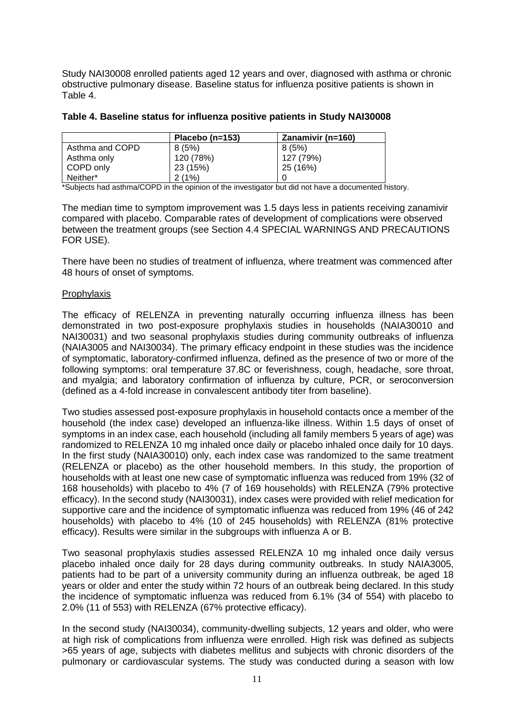Study NAI30008 enrolled patients aged 12 years and over, diagnosed with asthma or chronic obstructive pulmonary disease. Baseline status for influenza positive patients is shown in Table 4.

|                 | Placebo (n=153) | Zanamivir (n=160) |
|-----------------|-----------------|-------------------|
| Asthma and COPD | 8 (5%)          | 8(5%)             |
| Asthma only     | 120 (78%)       | 127 (79%)         |
| COPD only       | 23 (15%)        | 25 (16%)          |
| Neither*        | 2(1%)           |                   |

#### **Table 4. Baseline status for influenza positive patients in Study NAI30008**

\*Subjects had asthma/COPD in the opinion of the investigator but did not have a documented history.

The median time to symptom improvement was 1.5 days less in patients receiving zanamivir compared with placebo. Comparable rates of development of complications were observed between the treatment groups (see Section 4.4 SPECIAL WARNINGS AND PRECAUTIONS FOR USE).

There have been no studies of treatment of influenza, where treatment was commenced after 48 hours of onset of symptoms.

#### Prophylaxis

The efficacy of RELENZA in preventing naturally occurring influenza illness has been demonstrated in two post-exposure prophylaxis studies in households (NAIA30010 and NAI30031) and two seasonal prophylaxis studies during community outbreaks of influenza (NAIA3005 and NAI30034). The primary efficacy endpoint in these studies was the incidence of symptomatic, laboratory-confirmed influenza, defined as the presence of two or more of the following symptoms: oral temperature 37.8C or feverishness, cough, headache, sore throat, and myalgia; and laboratory confirmation of influenza by culture, PCR, or seroconversion (defined as a 4-fold increase in convalescent antibody titer from baseline).

Two studies assessed post-exposure prophylaxis in household contacts once a member of the household (the index case) developed an influenza-like illness. Within 1.5 days of onset of symptoms in an index case, each household (including all family members 5 years of age) was randomized to RELENZA 10 mg inhaled once daily or placebo inhaled once daily for 10 days. In the first study (NAIA30010) only, each index case was randomized to the same treatment (RELENZA or placebo) as the other household members. In this study, the proportion of households with at least one new case of symptomatic influenza was reduced from 19% (32 of 168 households) with placebo to 4% (7 of 169 households) with RELENZA (79% protective efficacy). In the second study (NAI30031), index cases were provided with relief medication for supportive care and the incidence of symptomatic influenza was reduced from 19% (46 of 242 households) with placebo to 4% (10 of 245 households) with RELENZA (81% protective efficacy). Results were similar in the subgroups with influenza A or B.

Two seasonal prophylaxis studies assessed RELENZA 10 mg inhaled once daily versus placebo inhaled once daily for 28 days during community outbreaks. In study NAIA3005, patients had to be part of a university community during an influenza outbreak, be aged 18 years or older and enter the study within 72 hours of an outbreak being declared. In this study the incidence of symptomatic influenza was reduced from 6.1% (34 of 554) with placebo to 2.0% (11 of 553) with RELENZA (67% protective efficacy).

In the second study (NAI30034), community-dwelling subjects, 12 years and older, who were at high risk of complications from influenza were enrolled. High risk was defined as subjects >65 years of age, subjects with diabetes mellitus and subjects with chronic disorders of the pulmonary or cardiovascular systems. The study was conducted during a season with low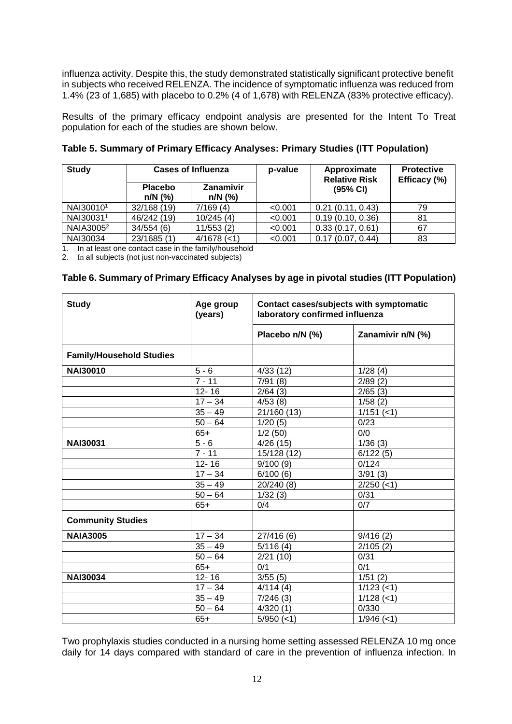influenza activity. Despite this, the study demonstrated statistically significant protective benefit in subjects who received RELENZA. The incidence of symptomatic influenza was reduced from 1.4% (23 of 1,685) with placebo to 0.2% (4 of 1,678) with RELENZA (83% protective efficacy).

Results of the primary efficacy endpoint analysis are presented for the Intent To Treat population for each of the studies are shown below.

| <b>Study</b>          |                             | <b>Cases of Influenza</b> |         | Approximate<br><b>Relative Risk</b> | <b>Protective</b><br>Efficacy (%) |
|-----------------------|-----------------------------|---------------------------|---------|-------------------------------------|-----------------------------------|
|                       | <b>Placebo</b><br>$n/N$ (%) | Zanamivir<br>$n/N$ (%)    |         | $(95% \text{ Cl})$                  |                                   |
| NAI300101             | 32/168 (19)                 | 7/169(4)                  | < 0.001 | 0.21(0.11, 0.43)                    | 79                                |
| NAI300311             | 46/242 (19)                 | 10/245(4)                 | < 0.001 | 0.19(0.10, 0.36)                    | 81                                |
| NAIA3005 <sup>2</sup> | 34/554(6)                   | 11/553(2)                 | < 0.001 | 0.33(0.17, 0.61)                    | 67                                |
| NAI30034              | 23/1685 (1)                 | $4/1678$ (<1)             | < 0.001 | 0.17(0.07, 0.44)                    | 83                                |

**Table 5. Summary of Primary Efficacy Analyses: Primary Studies (ITT Population)**

1. In at least one contact case in the family/household

2. In all subjects (not just non-vaccinated subjects)

| Table 6. Summary of Primary Efficacy Analyses by age in pivotal studies (ITT Population) |  |  |
|------------------------------------------------------------------------------------------|--|--|
|------------------------------------------------------------------------------------------|--|--|

| <b>Study</b>                    | Age group<br>(years) | Contact cases/subjects with symptomatic<br>laboratory confirmed influenza |                   |  |
|---------------------------------|----------------------|---------------------------------------------------------------------------|-------------------|--|
|                                 |                      | Placebo n/N (%)                                                           | Zanamivir n/N (%) |  |
| <b>Family/Household Studies</b> |                      |                                                                           |                   |  |
| <b>NAI30010</b>                 | $5 - 6$              | 4/33(12)                                                                  | 1/28(4)           |  |
|                                 | $\frac{1}{7}$ - 11   | 7/91(8)                                                                   | 2/89(2)           |  |
|                                 | $12 - 16$            | 2/64(3)                                                                   | 2/65(3)           |  |
|                                 | $17 - 34$            | 4/53(8)                                                                   | 1/58(2)           |  |
|                                 | $35 - 49$            | 21/160 (13)                                                               | $1/151$ (<1)      |  |
|                                 | $50 - 64$            | 1/20(5)                                                                   | 0/23              |  |
|                                 | $65+$                | 1/2(50)                                                                   | 0/0               |  |
| <b>NAI30031</b>                 | $5 - 6$              | 4/26(15)                                                                  | 1/36(3)           |  |
|                                 | $7 - 11$             | 15/128 (12)                                                               | 6/122(5)          |  |
|                                 | $12 - 16$            | 9/100(9)                                                                  | 0/124             |  |
|                                 | $17 - 34$            | 6/100(6)                                                                  | 3/91(3)           |  |
|                                 | $35 - 49$            | 20/240 (8)                                                                | $2/250$ (<1)      |  |
|                                 | $50 - 64$            | 1/32(3)                                                                   | 0/31              |  |
|                                 | $65+$                | 0/4                                                                       | 0/7               |  |
| <b>Community Studies</b>        |                      |                                                                           |                   |  |
| <b>NAIA3005</b>                 | $17 - 34$            | 27/416(6)                                                                 | 9/416(2)          |  |
|                                 | $35 - 49$            | 5/116(4)                                                                  | 2/105(2)          |  |
|                                 | $50 - 64$            | 2/21(10)                                                                  | 0/31              |  |
|                                 | $65+$                | 0/1                                                                       | 0/1               |  |
| <b>NAI30034</b>                 | $12 - 16$            | 3/55(5)                                                                   | 1/51(2)           |  |
|                                 | $17 - 34$            | 4/114(4)                                                                  | $1/123$ (<1)      |  |
|                                 | $35 - 49$            | 7/246(3)                                                                  | $1/128$ (<1)      |  |
|                                 | $50 - 64$            | 4/320(1)                                                                  | 0/330             |  |
|                                 | $65+$                | $5/950 (=1)$                                                              | $1/946$ (<1)      |  |

Two prophylaxis studies conducted in a nursing home setting assessed RELENZA 10 mg once daily for 14 days compared with standard of care in the prevention of influenza infection. In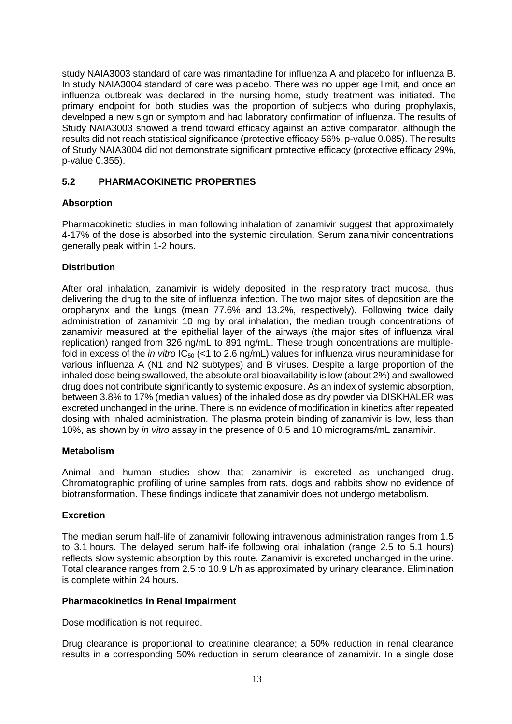study NAIA3003 standard of care was rimantadine for influenza A and placebo for influenza B. In study NAIA3004 standard of care was placebo. There was no upper age limit, and once an influenza outbreak was declared in the nursing home, study treatment was initiated. The primary endpoint for both studies was the proportion of subjects who during prophylaxis, developed a new sign or symptom and had laboratory confirmation of influenza. The results of Study NAIA3003 showed a trend toward efficacy against an active comparator, although the results did not reach statistical significance (protective efficacy 56%, p-value 0.085). The results of Study NAIA3004 did not demonstrate significant protective efficacy (protective efficacy 29%, p-value 0.355).

## **5.2 PHARMACOKINETIC PROPERTIES**

# **Absorption**

Pharmacokinetic studies in man following inhalation of zanamivir suggest that approximately 4-17% of the dose is absorbed into the systemic circulation. Serum zanamivir concentrations generally peak within 1-2 hours.

## **Distribution**

After oral inhalation, zanamivir is widely deposited in the respiratory tract mucosa, thus delivering the drug to the site of influenza infection. The two major sites of deposition are the oropharynx and the lungs (mean 77.6% and 13.2%, respectively). Following twice daily administration of zanamivir 10 mg by oral inhalation, the median trough concentrations of zanamivir measured at the epithelial layer of the airways (the major sites of influenza viral replication) ranged from 326 ng/mL to 891 ng/mL. These trough concentrations are multiplefold in excess of the *in vitro*  $IC_{50}$  (<1 to 2.6 ng/mL) values for influenza virus neuraminidase for various influenza A (N1 and N2 subtypes) and B viruses. Despite a large proportion of the inhaled dose being swallowed, the absolute oral bioavailability is low (about 2%) and swallowed drug does not contribute significantly to systemic exposure. As an index of systemic absorption, between 3.8% to 17% (median values) of the inhaled dose as dry powder via DISKHALER was excreted unchanged in the urine. There is no evidence of modification in kinetics after repeated dosing with inhaled administration. The plasma protein binding of zanamivir is low, less than 10%, as shown by *in vitro* assay in the presence of 0.5 and 10 micrograms/mL zanamivir.

## **Metabolism**

Animal and human studies show that zanamivir is excreted as unchanged drug. Chromatographic profiling of urine samples from rats, dogs and rabbits show no evidence of biotransformation. These findings indicate that zanamivir does not undergo metabolism.

## **Excretion**

The median serum half-life of zanamivir following intravenous administration ranges from 1.5 to 3.1 hours. The delayed serum half-life following oral inhalation (range 2.5 to 5.1 hours) reflects slow systemic absorption by this route. Zanamivir is excreted unchanged in the urine. Total clearance ranges from 2.5 to 10.9 L/h as approximated by urinary clearance. Elimination is complete within 24 hours.

## **Pharmacokinetics in Renal Impairment**

Dose modification is not required.

Drug clearance is proportional to creatinine clearance; a 50% reduction in renal clearance results in a corresponding 50% reduction in serum clearance of zanamivir. In a single dose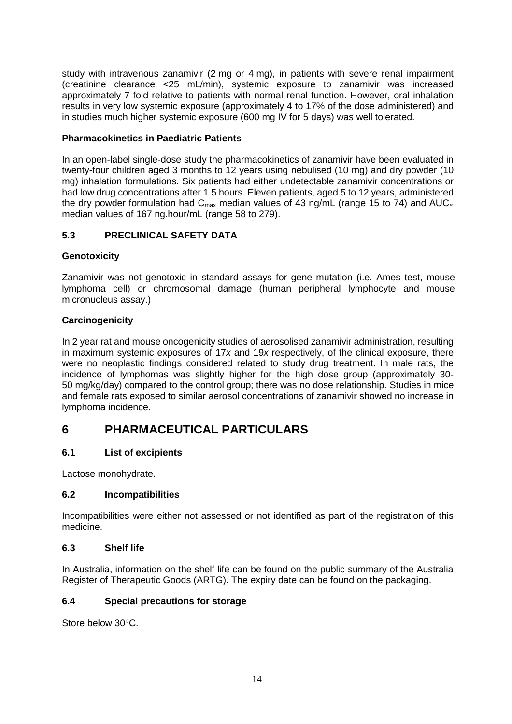study with intravenous zanamivir (2 mg or 4 mg), in patients with severe renal impairment (creatinine clearance <25 mL/min), systemic exposure to zanamivir was increased approximately 7 fold relative to patients with normal renal function. However, oral inhalation results in very low systemic exposure (approximately 4 to 17% of the dose administered) and in studies much higher systemic exposure (600 mg IV for 5 days) was well tolerated.

# **Pharmacokinetics in Paediatric Patients**

In an open-label single-dose study the pharmacokinetics of zanamivir have been evaluated in twenty-four children aged 3 months to 12 years using nebulised (10 mg) and dry powder (10 mg) inhalation formulations. Six patients had either undetectable zanamivir concentrations or had low drug concentrations after 1.5 hours. Eleven patients, aged 5 to 12 years, administered the dry powder formulation had  $C_{\text{max}}$  median values of 43 ng/mL (range 15 to 74) and AUC∞ median values of 167 ng.hour/mL (range 58 to 279).

# **5.3 PRECLINICAL SAFETY DATA**

## **Genotoxicity**

Zanamivir was not genotoxic in standard assays for gene mutation (i.e. Ames test, mouse lymphoma cell) or chromosomal damage (human peripheral lymphocyte and mouse micronucleus assay.)

# **Carcinogenicity**

In 2 year rat and mouse oncogenicity studies of aerosolised zanamivir administration, resulting in maximum systemic exposures of 17*x* and 19*x* respectively, of the clinical exposure, there were no neoplastic findings considered related to study drug treatment. In male rats, the incidence of lymphomas was slightly higher for the high dose group (approximately 30- 50 mg/kg/day) compared to the control group; there was no dose relationship. Studies in mice and female rats exposed to similar aerosol concentrations of zanamivir showed no increase in lymphoma incidence.

# **6 PHARMACEUTICAL PARTICULARS**

## **6.1 List of excipients**

Lactose monohydrate.

## **6.2 Incompatibilities**

Incompatibilities were either not assessed or not identified as part of the registration of this medicine.

## **6.3 Shelf life**

In Australia, information on the shelf life can be found on the public summary of the Australia Register of Therapeutic Goods (ARTG). The expiry date can be found on the packaging.

## **6.4 Special precautions for storage**

Store below 30°C.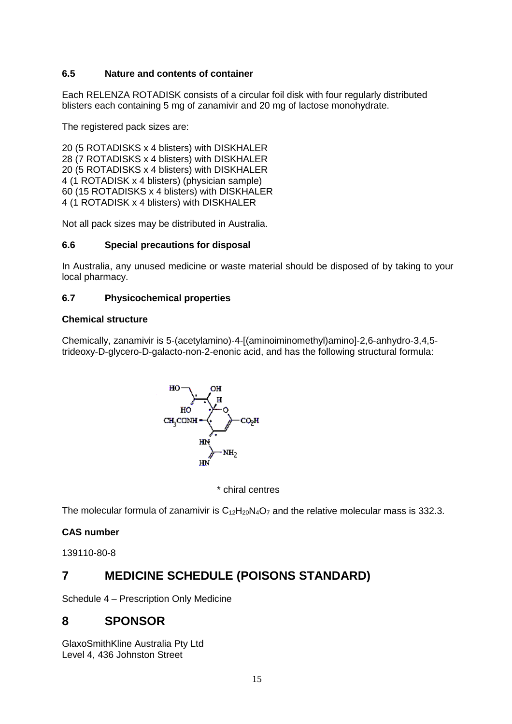# **6.5 Nature and contents of container**

Each RELENZA ROTADISK consists of a circular foil disk with four regularly distributed blisters each containing 5 mg of zanamivir and 20 mg of lactose monohydrate.

The registered pack sizes are:

20 (5 ROTADISKS x 4 blisters) with DISKHALER 28 (7 ROTADISKS x 4 blisters) with DISKHALER 20 (5 ROTADISKS x 4 blisters) with DISKHALER 4 (1 ROTADISK x 4 blisters) (physician sample) 60 (15 ROTADISKS x 4 blisters) with DISKHALER 4 (1 ROTADISK x 4 blisters) with DISKHALER

Not all pack sizes may be distributed in Australia.

# **6.6 Special precautions for disposal**

In Australia, any unused medicine or waste material should be disposed of by taking to your local pharmacy.

# **6.7 Physicochemical properties**

## **Chemical structure**

Chemically, zanamivir is 5-(acetylamino)-4-[(aminoiminomethyl)amino]-2,6-anhydro-3,4,5 trideoxy-D-glycero-D-galacto-non-2-enonic acid, and has the following structural formula:



\* chiral centres

The molecular formula of zanamivir is  $C_{12}H_{20}N_4O_7$  and the relative molecular mass is 332.3.

# **CAS number**

139110-80-8

# **7 MEDICINE SCHEDULE (POISONS STANDARD)**

Schedule 4 – Prescription Only Medicine

# **8 SPONSOR**

GlaxoSmithKline Australia Pty Ltd Level 4, 436 Johnston Street